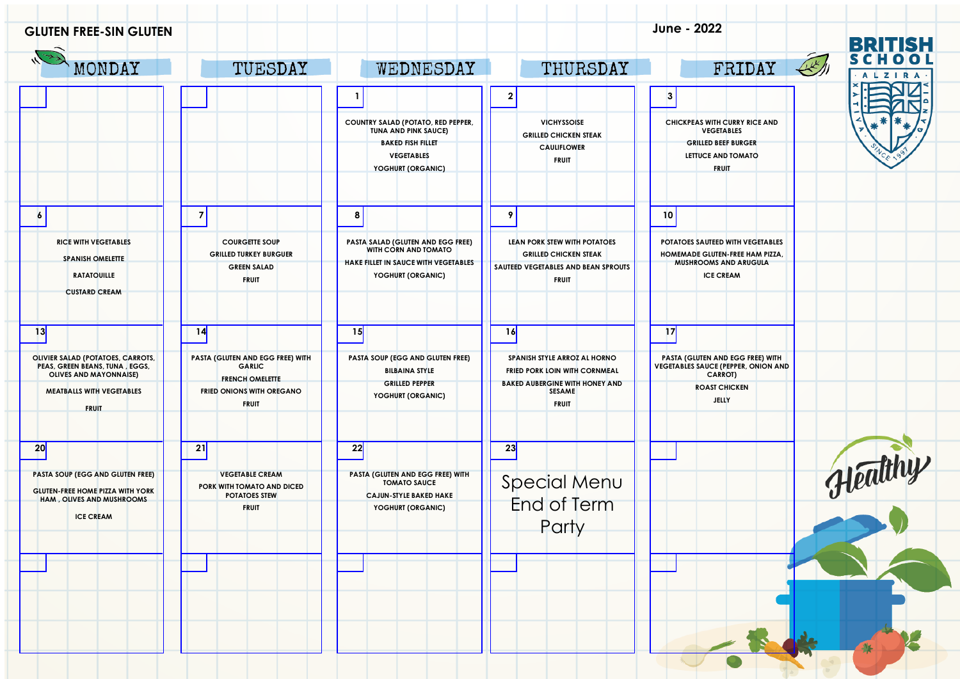| <b>GLUTEN FREE-SIN GLUTEN</b>                                                                            |                                                                                              |                                                                                                                        |                                                                                                                     | June - 2022                                                                                                             |                                 |
|----------------------------------------------------------------------------------------------------------|----------------------------------------------------------------------------------------------|------------------------------------------------------------------------------------------------------------------------|---------------------------------------------------------------------------------------------------------------------|-------------------------------------------------------------------------------------------------------------------------|---------------------------------|
| MONDAY                                                                                                   | TUESDAY                                                                                      | WEDNESDAY                                                                                                              | THURSDAY                                                                                                            | $\mathbb{R}$<br>FRIDAY                                                                                                  | <b>BRITISH</b><br><b>ALZIRA</b> |
|                                                                                                          |                                                                                              |                                                                                                                        | $\mathbf{2}$                                                                                                        | $\boldsymbol{\beta}$                                                                                                    |                                 |
|                                                                                                          |                                                                                              | COUNTRY SALAD (POTATO, RED PEPPER,<br><b>TUNA AND PINK SAUCE)</b><br><b>BAKED FISH FILLET</b>                          | <b>VICHYSSOISE</b><br><b>GRILLED CHICKEN STEAK</b>                                                                  | CHICKPEAS WITH CURRY RICE AND<br><b>VEGETABLES</b><br><b>GRILLED BEEF BURGER</b>                                        |                                 |
|                                                                                                          |                                                                                              | <b>VEGETABLES</b><br>YOGHURT (ORGANIC)                                                                                 | <b>CAULIFLOWER</b><br><b>FRUIT</b>                                                                                  | LETTUCE AND TOMATO<br><b>FRUIT</b>                                                                                      |                                 |
| $\overline{6}$                                                                                           | $\overline{7}$                                                                               | 8                                                                                                                      | 9                                                                                                                   | 10                                                                                                                      |                                 |
| <b>RICE WITH VEGETABLES</b><br><b>SPANISH OMELETTE</b><br><b>RATATOUILLE</b><br><b>CUSTARD CREAM</b>     | <b>COURGETTE SOUP</b><br><b>GRILLED TURKEY BURGUER</b><br><b>GREEN SALAD</b><br><b>FRUIT</b> | PASTA SALAD (GLUTEN AND EGG FREE)<br>WITH CORN AND TOMATO<br>HAKE FILLET IN SAUCE WITH VEGETABLES<br>YOGHURT (ORGANIC) | LEAN PORK STEW WITH POTATOES<br><b>GRILLED CHICKEN STEAK</b><br>SAUTEED VEGETABLES AND BEAN SPROUTS<br><b>FRUIT</b> | POTATOES SAUTEED WITH VEGETABLES<br>HOMEMADE GLUTEN-FREE HAM PIZZA,<br><b>MUSHROOMS AND ARUGULA</b><br><b>ICE CREAM</b> |                                 |
| 13                                                                                                       | 14                                                                                           | 15                                                                                                                     | 16                                                                                                                  | 17                                                                                                                      |                                 |
| OLIVIER SALAD (POTATOES, CARROTS,<br>PEAS, GREEN BEANS, TUNA, EGGS,<br><b>OLIVES AND MAYONNAISE)</b>     | PASTA (GLUTEN AND EGG FREE) WITH<br><b>GARLIC</b><br><b>FRENCH OMELETTE</b>                  | PASTA SOUP (EGG AND GLUTEN FREE)<br><b>BILBAINA STYLE</b>                                                              | SPANISH STYLE ARROZ AL HORNO<br>FRIED PORK LOIN WITH CORNMEAL                                                       | PASTA (GLUTEN AND EGG FREE) WITH<br>VEGETABLES SAUCE (PEPPER, ONION AND<br>CARROT)                                      |                                 |
| <b>MEATBALLS WITH VEGETABLES</b><br><b>FRUIT</b>                                                         | FRIED ONIONS WITH OREGANO<br><b>FRUIT</b>                                                    | <b>GRILLED PEPPER</b><br>YOGHURT (ORGANIC)                                                                             | <b>BAKED AUBERGINE WITH HONEY AND</b><br><b>SESAME</b><br><b>FRUIT</b>                                              | <b>ROAST CHICKEN</b><br>JELLY                                                                                           |                                 |
| 20                                                                                                       | 21                                                                                           | 22                                                                                                                     | 23                                                                                                                  |                                                                                                                         |                                 |
| PASTA SOUP (EGG AND GLUTEN FREE)<br><b>GLUTEN-FREE HOME PIZZA WITH YORK</b><br>HAM, OLIVES AND MUSHROOMS | <b>VEGETABLE CREAM</b><br>PORK WITH TOMATO AND DICED<br><b>POTATOES STEW</b><br><b>FRUIT</b> | PASTA (GLUTEN AND EGG FREE) WITH<br><b>TOMATO SAUCE</b><br><b>CAJUN-STYLE BAKED HAKE</b><br>YOGHURT (ORGANIC)          | Special Menu<br>End of Term                                                                                         |                                                                                                                         | Healthy                         |
| <b>ICE CREAM</b>                                                                                         |                                                                                              |                                                                                                                        | Party                                                                                                               |                                                                                                                         |                                 |
|                                                                                                          |                                                                                              |                                                                                                                        |                                                                                                                     |                                                                                                                         |                                 |
|                                                                                                          |                                                                                              |                                                                                                                        |                                                                                                                     |                                                                                                                         |                                 |